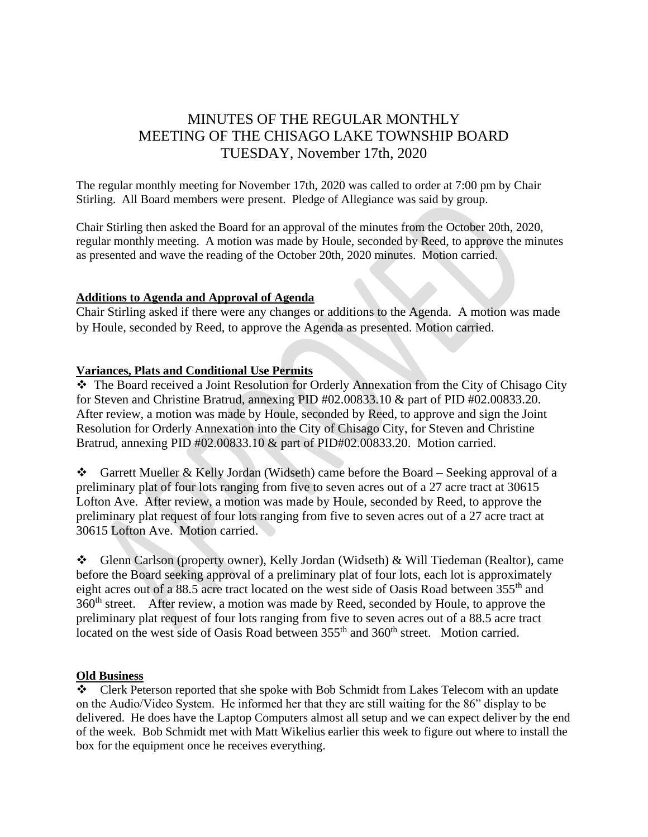# MINUTES OF THE REGULAR MONTHLY MEETING OF THE CHISAGO LAKE TOWNSHIP BOARD TUESDAY, November 17th, 2020

The regular monthly meeting for November 17th, 2020 was called to order at 7:00 pm by Chair Stirling. All Board members were present. Pledge of Allegiance was said by group.

Chair Stirling then asked the Board for an approval of the minutes from the October 20th, 2020, regular monthly meeting. A motion was made by Houle, seconded by Reed, to approve the minutes as presented and wave the reading of the October 20th, 2020 minutes. Motion carried.

#### **Additions to Agenda and Approval of Agenda**

Chair Stirling asked if there were any changes or additions to the Agenda. A motion was made by Houle, seconded by Reed, to approve the Agenda as presented. Motion carried.

#### **Variances, Plats and Conditional Use Permits**

❖ The Board received a Joint Resolution for Orderly Annexation from the City of Chisago City for Steven and Christine Bratrud, annexing PID #02.00833.10 & part of PID #02.00833.20. After review, a motion was made by Houle, seconded by Reed, to approve and sign the Joint Resolution for Orderly Annexation into the City of Chisago City, for Steven and Christine Bratrud, annexing PID #02.00833.10 & part of PID#02.00833.20. Motion carried.

❖ Garrett Mueller & Kelly Jordan (Widseth) came before the Board – Seeking approval of a preliminary plat of four lots ranging from five to seven acres out of a 27 acre tract at 30615 Lofton Ave. After review, a motion was made by Houle, seconded by Reed, to approve the preliminary plat request of four lots ranging from five to seven acres out of a 27 acre tract at 30615 Lofton Ave. Motion carried.

❖ Glenn Carlson (property owner), Kelly Jordan (Widseth) & Will Tiedeman (Realtor), came before the Board seeking approval of a preliminary plat of four lots, each lot is approximately eight acres out of a 88.5 acre tract located on the west side of Oasis Road between 355<sup>th</sup> and 360<sup>th</sup> street. After review, a motion was made by Reed, seconded by Houle, to approve the preliminary plat request of four lots ranging from five to seven acres out of a 88.5 acre tract located on the west side of Oasis Road between  $355<sup>th</sup>$  and  $360<sup>th</sup>$  street. Motion carried.

# **Old Business**

❖ Clerk Peterson reported that she spoke with Bob Schmidt from Lakes Telecom with an update on the Audio/Video System. He informed her that they are still waiting for the 86" display to be delivered. He does have the Laptop Computers almost all setup and we can expect deliver by the end of the week. Bob Schmidt met with Matt Wikelius earlier this week to figure out where to install the box for the equipment once he receives everything.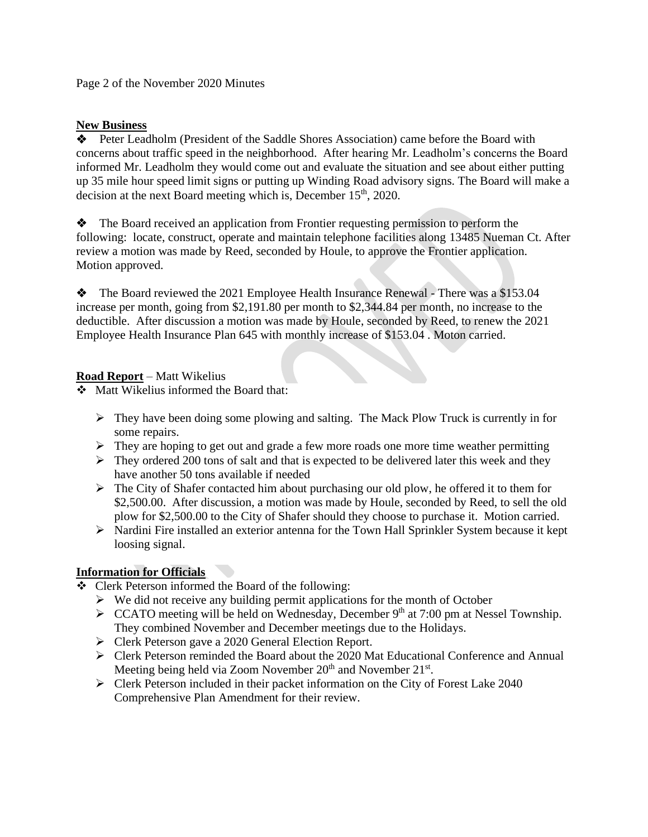Page 2 of the November 2020 Minutes

### **New Business**

❖ Peter Leadholm (President of the Saddle Shores Association) came before the Board with concerns about traffic speed in the neighborhood. After hearing Mr. Leadholm's concerns the Board informed Mr. Leadholm they would come out and evaluate the situation and see about either putting up 35 mile hour speed limit signs or putting up Winding Road advisory signs. The Board will make a decision at the next Board meeting which is, December  $15<sup>th</sup>$ , 2020.

❖ The Board received an application from Frontier requesting permission to perform the following: locate, construct, operate and maintain telephone facilities along 13485 Nueman Ct. After review a motion was made by Reed, seconded by Houle, to approve the Frontier application. Motion approved.

❖ The Board reviewed the 2021 Employee Health Insurance Renewal - There was a \$153.04 increase per month, going from \$2,191.80 per month to \$2,344.84 per month, no increase to the deductible. After discussion a motion was made by Houle, seconded by Reed, to renew the 2021 Employee Health Insurance Plan 645 with monthly increase of \$153.04 . Moton carried.

# **Road Report** – Matt Wikelius

❖ Matt Wikelius informed the Board that:

- ➢ They have been doing some plowing and salting. The Mack Plow Truck is currently in for some repairs.
- ➢ They are hoping to get out and grade a few more roads one more time weather permitting
- ➢ They ordered 200 tons of salt and that is expected to be delivered later this week and they have another 50 tons available if needed
- ➢ The City of Shafer contacted him about purchasing our old plow, he offered it to them for \$2,500.00. After discussion, a motion was made by Houle, seconded by Reed, to sell the old plow for \$2,500.00 to the City of Shafer should they choose to purchase it. Motion carried.
- $\triangleright$  Nardini Fire installed an exterior antenna for the Town Hall Sprinkler System because it kept loosing signal.

# **Information for Officials**

- ❖ Clerk Peterson informed the Board of the following:
	- $\triangleright$  We did not receive any building permit applications for the month of October
	- $\triangleright$  CCATO meeting will be held on Wednesday, December 9<sup>th</sup> at 7:00 pm at Nessel Township. They combined November and December meetings due to the Holidays.
	- ➢ Clerk Peterson gave a 2020 General Election Report.
	- ➢ Clerk Peterson reminded the Board about the 2020 Mat Educational Conference and Annual Meeting being held via Zoom November  $20<sup>th</sup>$  and November  $21<sup>st</sup>$ .
	- $\triangleright$  Clerk Peterson included in their packet information on the City of Forest Lake 2040 Comprehensive Plan Amendment for their review.